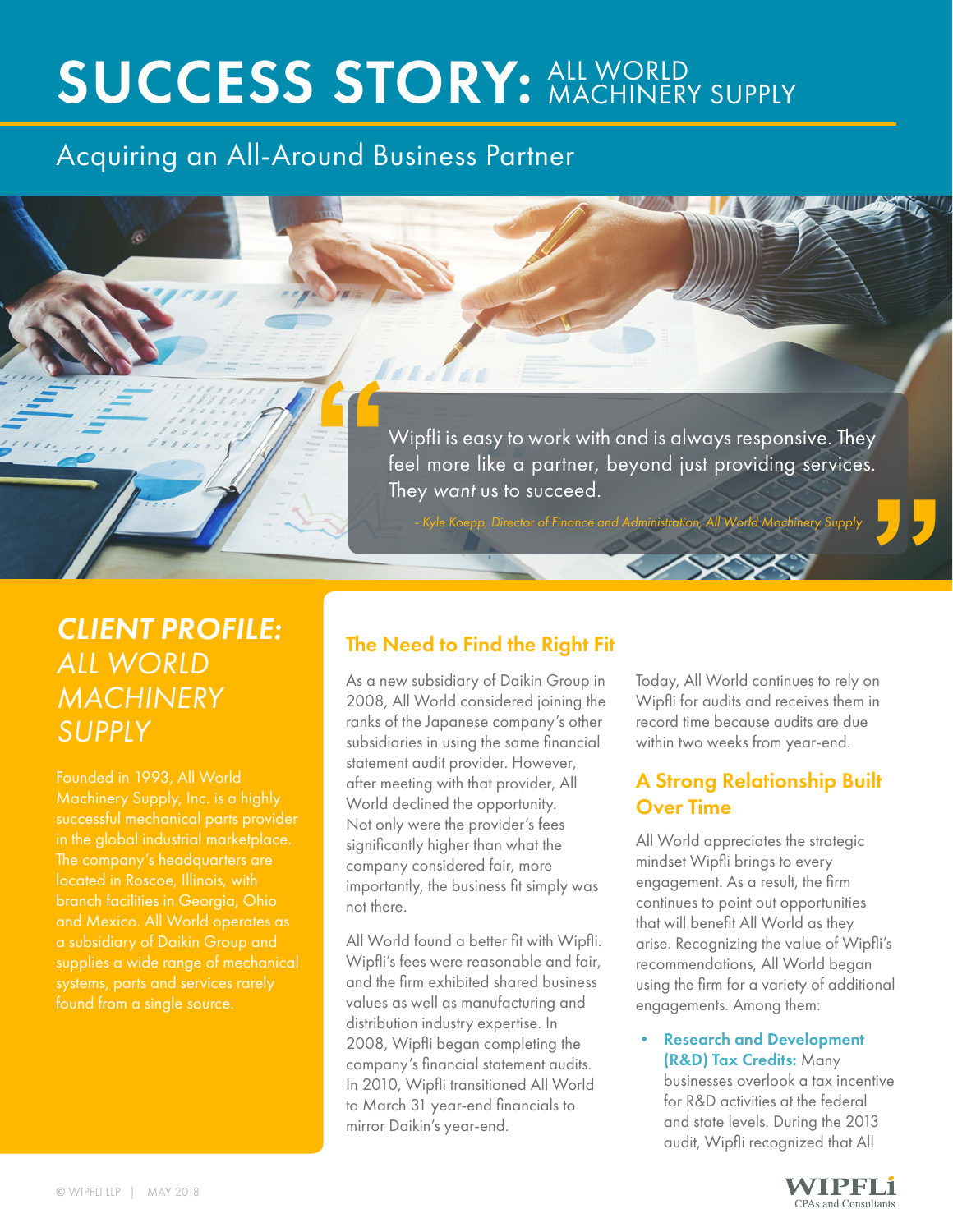## **SUCCESS STORY: ALL WORLD** MACHINERY SUPPLY

## Acquiring an All-Around Business Partner

Wipfli is easy to work with and is always responsive. They feel more like a partner, beyond just providing services. They want us to succeed. **"**

## *CLIENT PROFILE:*  **ALL WORLD** *MACHINERY SUPPLY*

Founded in 1993, All World Machinery Supply, Inc. is a highly located in Roscoe, Illinois, with branch facilities in Georgia, Ohio supplies a wide range of mechanical found from a single source.

# **a**- Kyle Koepp, Director of Finance and Administration, All World Machinery Supply **and the Right Fit**<br> **Example 20 to Find the Right Fit** The Need to Find the Right Fit

Nels

As a new subsidiary of Daikin Group in 2008, All World considered joining the ranks of the Japanese company's other subsidiaries in using the same financial statement audit provider. However, after meeting with that provider, All World declined the opportunity. Not only were the provider's fees significantly higher than what the company considered fair, more importantly, the business fit simply was not there.

All World found a better fit with Wipfli. Wipfli's fees were reasonable and fair, and the firm exhibited shared business values as well as manufacturing and distribution industry expertise. In 2008, Wipfli began completing the company's financial statement audits. In 2010, Wipfli transitioned All World to March 31 year-end financials to mirror Daikin's year-end.

Today, All World continues to rely on Wipfli for audits and receives them in record time because audits are due within two weeks from year-end.

### A Strong Relationship Built Over Time

All World appreciates the strategic mindset Wipfli brings to every engagement. As a result, the firm continues to point out opportunities that will benefit All World as they arise. Recognizing the value of Wipfli's recommendations, All World began using the firm for a variety of additional engagements. Among them:

#### • Research and Development (R&D) Tax Credits: Many

businesses overlook a tax incentive for R&D activities at the federal and state levels. During the 2013 audit, Wipfli recognized that All